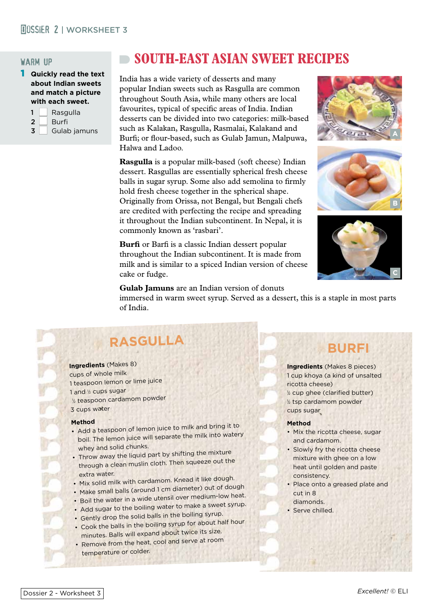## **MOSSIER 2 | WORKSHEET 3**

### warm up

1 **Quickly read the text about Indian sweets and match a picture with each sweet.**

|   | Rasgulla     |  |
|---|--------------|--|
| 2 | Burfi        |  |
| 3 | Gulab jamuns |  |

## **SOUTH-EAST ASIAN SWEET RECIPES**

India has a wide variety of desserts and many popular Indian sweets such as Rasgulla are common throughout South Asia, while many others are local favourites, typical of specific areas of India. Indian desserts can be divided into two categories: milk-based such as Kalakan, Rasgulla, Rasmalai, Kalakand and Burfi; or flour-based, such as Gulab Jamun, Malpuwa, Halwa and Ladoo.

**Rasgulla** is a popular milk-based (soft cheese) Indian dessert. Rasgullas are essentially spherical fresh cheese balls in sugar syrup. Some also add semolina to firmly hold fresh cheese together in the spherical shape. Originally from Orissa, not Bengal, but Bengali chefs are credited with perfecting the recipe and spreading it throughout the Indian subcontinent. In Nepal, it is commonly known as 'rasbari'.

**Burfi** or Barfi is a classic Indian dessert popular throughout the Indian subcontinent. It is made from milk and is similar to a spiced Indian version of cheese cake or fudge.







**Gulab Jamuns** are an Indian version of donuts

immersed in warm sweet syrup. Served as a dessert, this is a staple in most parts of India.

# **RASGULLA**

**Ingredients** (Makes 8) cups of whole milk 1 teaspoon lemon or lime juice 1 and  $\not|$  cups sugar 1 <sup>2</sup> teaspoon cardamom powder 3 cups water

#### **Method**

- Add a teaspoon of lemon juice to milk and bring it to boil. The lemon juice will separate the milk into watery whey and solid chunks.
- Throw away the liquid part by shifting the mixture through a clean muslin cloth. Then squeeze out the extra water.
- Mix solid milk with cardamom. Knead it like dough.
- Make small balls (around 1 cm diameter) out of dough
- Flake stream in a wide utensil over medium-low heat.
- Add sugar to the boiling water to make a sweet syrup.
- Gently drop the solid balls in the boiling syrup.
- Cook the balls in the boiling syrup for about half hour minutes. Balls will expand about twice its size.
- Remove from the heat, cool and serve at room temperature or colder.

# **BURFI**

**Ingredients** (Makes 8 pieces) 1 cup khoya (a kind of unsalted ricotta cheese) 1 2 cup ghee (clarified butter) 1 2 tsp cardamom powder cups sugar

### **Method**

- Mix the ricotta cheese, sugar and cardamom.
- Slowly fry the ricotta cheese mixture with ghee on a low heat until golden and paste consistency.
- Place onto a greased plate and cut in 8 diamonds.
- Serve chilled.